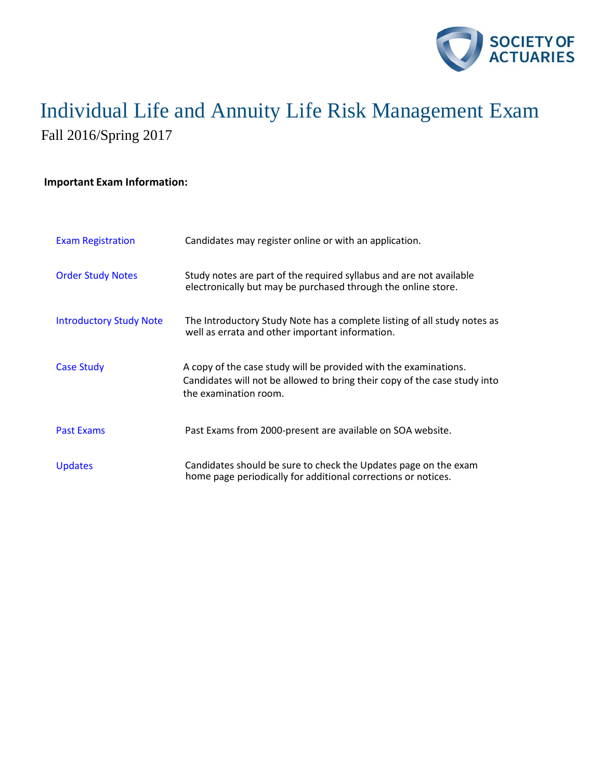

#### **Important Exam Information:**

| <b>Exam Registration</b>       | Candidates may register online or with an application.                                                                                                                 |
|--------------------------------|------------------------------------------------------------------------------------------------------------------------------------------------------------------------|
| <b>Order Study Notes</b>       | Study notes are part of the required syllabus and are not available<br>electronically but may be purchased through the online store.                                   |
| <b>Introductory Study Note</b> | The Introductory Study Note has a complete listing of all study notes as<br>well as errata and other important information.                                            |
| <b>Case Study</b>              | A copy of the case study will be provided with the examinations.<br>Candidates will not be allowed to bring their copy of the case study into<br>the examination room. |
| <b>Past Exams</b>              | Past Exams from 2000-present are available on SOA website.                                                                                                             |
| <b>Updates</b>                 | Candidates should be sure to check the Updates page on the exam<br>home page periodically for additional corrections or notices.                                       |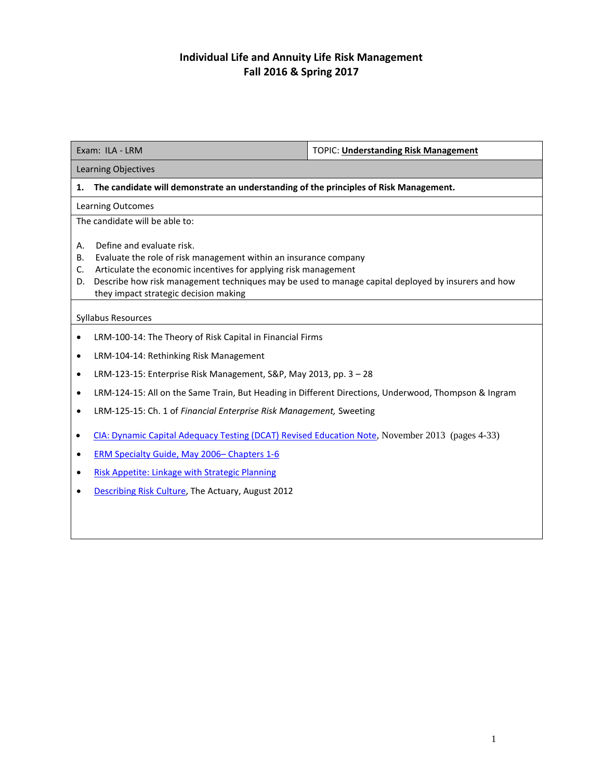| Exam: ILA - LRM                                                                                                                                                                                                                                                                                                                         | <b>TOPIC: Understanding Risk Management</b>                                                          |  |  |  |
|-----------------------------------------------------------------------------------------------------------------------------------------------------------------------------------------------------------------------------------------------------------------------------------------------------------------------------------------|------------------------------------------------------------------------------------------------------|--|--|--|
| Learning Objectives                                                                                                                                                                                                                                                                                                                     |                                                                                                      |  |  |  |
| The candidate will demonstrate an understanding of the principles of Risk Management.<br>1.                                                                                                                                                                                                                                             |                                                                                                      |  |  |  |
| Learning Outcomes                                                                                                                                                                                                                                                                                                                       |                                                                                                      |  |  |  |
| The candidate will be able to:                                                                                                                                                                                                                                                                                                          |                                                                                                      |  |  |  |
| Define and evaluate risk.<br>А.<br>Evaluate the role of risk management within an insurance company<br>В.<br>Articulate the economic incentives for applying risk management<br>C.<br>Describe how risk management techniques may be used to manage capital deployed by insurers and how<br>D.<br>they impact strategic decision making |                                                                                                      |  |  |  |
| Syllabus Resources                                                                                                                                                                                                                                                                                                                      |                                                                                                      |  |  |  |
| LRM-100-14: The Theory of Risk Capital in Financial Firms<br>$\bullet$                                                                                                                                                                                                                                                                  |                                                                                                      |  |  |  |
| LRM-104-14: Rethinking Risk Management<br>$\bullet$                                                                                                                                                                                                                                                                                     |                                                                                                      |  |  |  |
| $\bullet$                                                                                                                                                                                                                                                                                                                               | LRM-123-15: Enterprise Risk Management, S&P, May 2013, pp. 3 - 28                                    |  |  |  |
| $\bullet$                                                                                                                                                                                                                                                                                                                               | LRM-124-15: All on the Same Train, But Heading in Different Directions, Underwood, Thompson & Ingram |  |  |  |
| LRM-125-15: Ch. 1 of Financial Enterprise Risk Management, Sweeting<br>$\bullet$                                                                                                                                                                                                                                                        |                                                                                                      |  |  |  |
| CIA: Dynamic Capital Adequacy Testing (DCAT) Revised Education Note, November 2013 (pages 4-33)<br>$\bullet$                                                                                                                                                                                                                            |                                                                                                      |  |  |  |
| ERM Specialty Guide, May 2006- Chapters 1-6<br>$\bullet$                                                                                                                                                                                                                                                                                |                                                                                                      |  |  |  |
| Risk Appetite: Linkage with Strategic Planning<br>$\bullet$                                                                                                                                                                                                                                                                             |                                                                                                      |  |  |  |
| Describing Risk Culture, The Actuary, August 2012                                                                                                                                                                                                                                                                                       |                                                                                                      |  |  |  |
|                                                                                                                                                                                                                                                                                                                                         |                                                                                                      |  |  |  |
|                                                                                                                                                                                                                                                                                                                                         |                                                                                                      |  |  |  |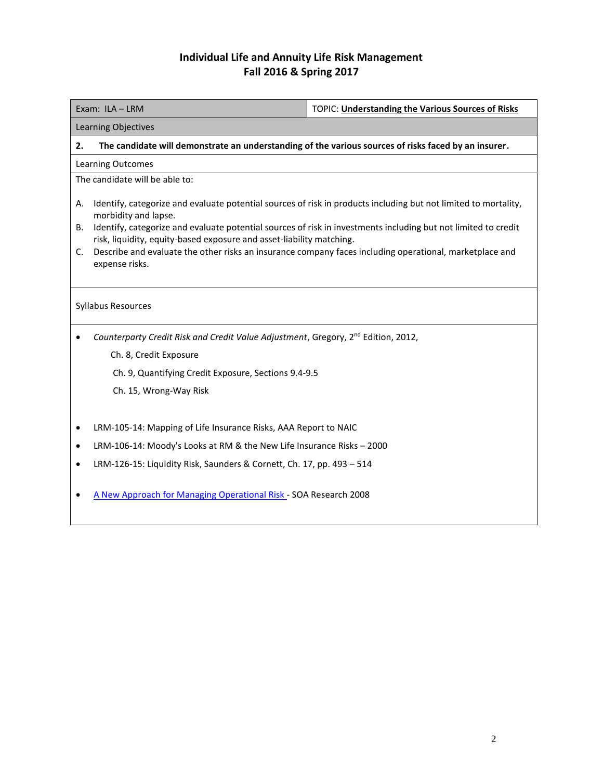| Exam: ILA - LRM                                                                                                                                                                              | TOPIC: Understanding the Various Sources of Risks |  |  |  |
|----------------------------------------------------------------------------------------------------------------------------------------------------------------------------------------------|---------------------------------------------------|--|--|--|
| Learning Objectives                                                                                                                                                                          |                                                   |  |  |  |
| The candidate will demonstrate an understanding of the various sources of risks faced by an insurer.<br>2.                                                                                   |                                                   |  |  |  |
| <b>Learning Outcomes</b>                                                                                                                                                                     |                                                   |  |  |  |
| The candidate will be able to:                                                                                                                                                               |                                                   |  |  |  |
| Identify, categorize and evaluate potential sources of risk in products including but not limited to mortality,<br>А.<br>morbidity and lapse.                                                |                                                   |  |  |  |
| Identify, categorize and evaluate potential sources of risk in investments including but not limited to credit<br>В.<br>risk, liquidity, equity-based exposure and asset-liability matching. |                                                   |  |  |  |
| Describe and evaluate the other risks an insurance company faces including operational, marketplace and<br>C.<br>expense risks.                                                              |                                                   |  |  |  |
| Syllabus Resources                                                                                                                                                                           |                                                   |  |  |  |
| Counterparty Credit Risk and Credit Value Adjustment, Gregory, 2 <sup>nd</sup> Edition, 2012,                                                                                                |                                                   |  |  |  |
| Ch. 8, Credit Exposure                                                                                                                                                                       |                                                   |  |  |  |
| Ch. 9, Quantifying Credit Exposure, Sections 9.4-9.5                                                                                                                                         |                                                   |  |  |  |
| Ch. 15, Wrong-Way Risk                                                                                                                                                                       |                                                   |  |  |  |
| LRM-105-14: Mapping of Life Insurance Risks, AAA Report to NAIC<br>$\bullet$                                                                                                                 |                                                   |  |  |  |
| LRM-106-14: Moody's Looks at RM & the New Life Insurance Risks - 2000<br>٠                                                                                                                   |                                                   |  |  |  |
| LRM-126-15: Liquidity Risk, Saunders & Cornett, Ch. 17, pp. 493 - 514<br>$\bullet$                                                                                                           |                                                   |  |  |  |

[A New Approach for Managing Operational Risk -](http://www.soa.org/Files/Research/Projects/research-new-approach.pdf) SOA Research 2008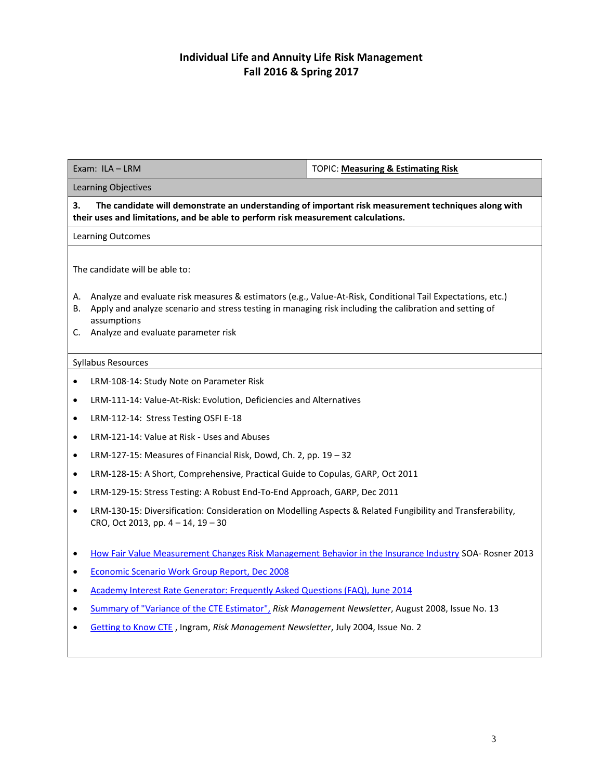| Exam: ILA-LRM                                                                                                                                                                                  |                                                                                                                                                                                                                                                                                | TOPIC: Measuring & Estimating Risk                                                                     |  |  |  |
|------------------------------------------------------------------------------------------------------------------------------------------------------------------------------------------------|--------------------------------------------------------------------------------------------------------------------------------------------------------------------------------------------------------------------------------------------------------------------------------|--------------------------------------------------------------------------------------------------------|--|--|--|
| Learning Objectives                                                                                                                                                                            |                                                                                                                                                                                                                                                                                |                                                                                                        |  |  |  |
| 3.<br>The candidate will demonstrate an understanding of important risk measurement techniques along with<br>their uses and limitations, and be able to perform risk measurement calculations. |                                                                                                                                                                                                                                                                                |                                                                                                        |  |  |  |
| Learning Outcomes                                                                                                                                                                              |                                                                                                                                                                                                                                                                                |                                                                                                        |  |  |  |
| The candidate will be able to:                                                                                                                                                                 |                                                                                                                                                                                                                                                                                |                                                                                                        |  |  |  |
| А.<br>В.                                                                                                                                                                                       | Analyze and evaluate risk measures & estimators (e.g., Value-At-Risk, Conditional Tail Expectations, etc.)<br>Apply and analyze scenario and stress testing in managing risk including the calibration and setting of<br>assumptions<br>C. Analyze and evaluate parameter risk |                                                                                                        |  |  |  |
| <b>Syllabus Resources</b>                                                                                                                                                                      |                                                                                                                                                                                                                                                                                |                                                                                                        |  |  |  |
| $\bullet$                                                                                                                                                                                      | LRM-108-14: Study Note on Parameter Risk                                                                                                                                                                                                                                       |                                                                                                        |  |  |  |
| $\bullet$                                                                                                                                                                                      | LRM-111-14: Value-At-Risk: Evolution, Deficiencies and Alternatives                                                                                                                                                                                                            |                                                                                                        |  |  |  |
| $\bullet$                                                                                                                                                                                      | LRM-112-14: Stress Testing OSFI E-18                                                                                                                                                                                                                                           |                                                                                                        |  |  |  |
| $\bullet$                                                                                                                                                                                      | LRM-121-14: Value at Risk - Uses and Abuses                                                                                                                                                                                                                                    |                                                                                                        |  |  |  |
| $\bullet$                                                                                                                                                                                      | LRM-127-15: Measures of Financial Risk, Dowd, Ch. 2, pp. 19 - 32                                                                                                                                                                                                               |                                                                                                        |  |  |  |
| $\bullet$                                                                                                                                                                                      | LRM-128-15: A Short, Comprehensive, Practical Guide to Copulas, GARP, Oct 2011                                                                                                                                                                                                 |                                                                                                        |  |  |  |
| $\bullet$                                                                                                                                                                                      | LRM-129-15: Stress Testing: A Robust End-To-End Approach, GARP, Dec 2011                                                                                                                                                                                                       |                                                                                                        |  |  |  |
| $\bullet$                                                                                                                                                                                      | LRM-130-15: Diversification: Consideration on Modelling Aspects & Related Fungibility and Transferability,<br>CRO, Oct 2013, pp. 4 - 14, 19 - 30                                                                                                                               |                                                                                                        |  |  |  |
| ٠                                                                                                                                                                                              |                                                                                                                                                                                                                                                                                | How Fair Value Measurement Changes Risk Management Behavior in the Insurance Industry SOA- Rosner 2013 |  |  |  |
| ٠                                                                                                                                                                                              | <b>Economic Scenario Work Group Report, Dec 2008</b>                                                                                                                                                                                                                           |                                                                                                        |  |  |  |
| $\bullet$                                                                                                                                                                                      | Academy Interest Rate Generator: Frequently Asked Questions (FAQ), June 2014                                                                                                                                                                                                   |                                                                                                        |  |  |  |
| ٠                                                                                                                                                                                              | Summary of "Variance of the CTE Estimator", Risk Management Newsletter, August 2008, Issue No. 13                                                                                                                                                                              |                                                                                                        |  |  |  |
|                                                                                                                                                                                                | Getting to Know CTE, Ingram, Risk Management Newsletter, July 2004, Issue No. 2                                                                                                                                                                                                |                                                                                                        |  |  |  |